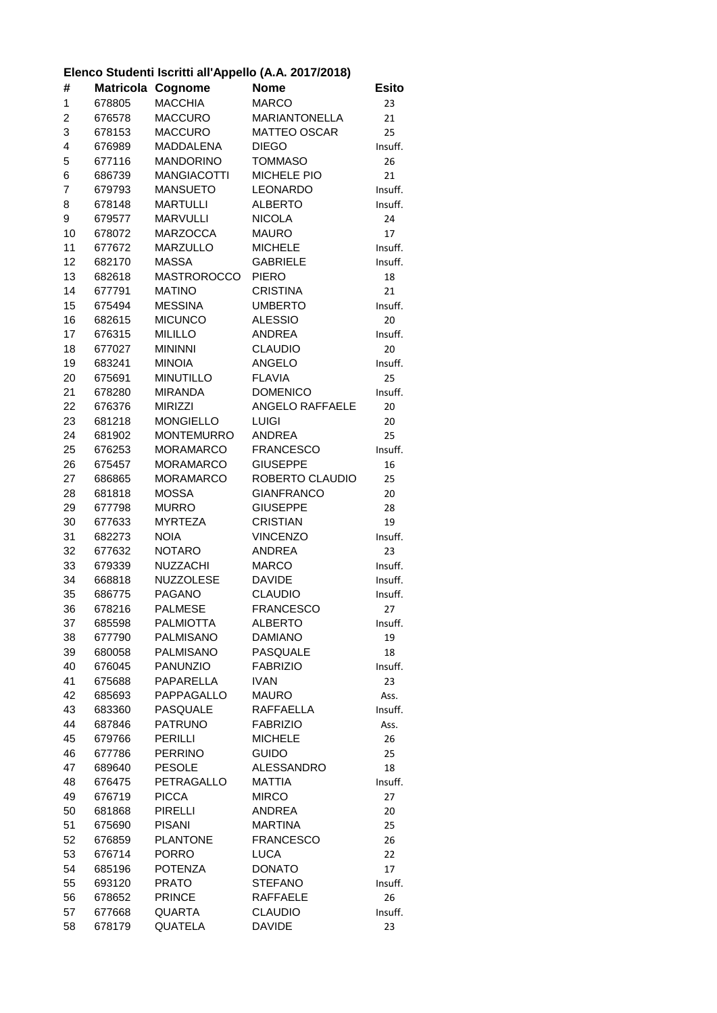## **Elenco Studenti Iscritti all'Appello (A.A. 2017/2018)**

| #            | Matricola | Cognome                        | <b>Nome</b>                       | <b>Esito</b>  |
|--------------|-----------|--------------------------------|-----------------------------------|---------------|
| $\mathbf{1}$ | 678805    | <b>MACCHIA</b>                 | <b>MARCO</b>                      | 23            |
| 2            | 676578    | MACCURO                        | <b>MARIANTONELLA</b>              | 21            |
| 3            | 678153    | <b>MACCURO</b>                 | <b>MATTEO OSCAR</b>               | 25            |
| 4            | 676989    | MADDALENA                      | <b>DIEGO</b>                      | Insuff.       |
| 5            | 677116    | <b>MANDORINO</b>               | <b>TOMMASO</b>                    | 26            |
| 6            | 686739    | <b>MANGIACOTTI</b>             | MICHELE PIO                       | 21            |
| 7            | 679793    | <b>MANSUETO</b>                | <b>LEONARDO</b>                   | Insuff.       |
| 8            | 678148    | <b>MARTULLI</b>                | <b>ALBERTO</b>                    | Insuff.       |
| 9            | 679577    | <b>MARVULLI</b>                | <b>NICOLA</b>                     | 24            |
| 10           | 678072    | <b>MARZOCCA</b>                | <b>MAURO</b>                      | 17            |
| 11           | 677672    | MARZULLO                       | <b>MICHELE</b>                    | Insuff.       |
| 12           | 682170    | <b>MASSA</b>                   | <b>GABRIELE</b>                   | Insuff.       |
| 13           | 682618    | <b>MASTROROCCO</b>             | <b>PIERO</b>                      | 18            |
| 14           | 677791    | <b>MATINO</b>                  | <b>CRISTINA</b>                   | 21            |
| 15           | 675494    | <b>MESSINA</b>                 | <b>UMBERTO</b>                    | Insuff.       |
| 16           | 682615    | <b>MICUNCO</b>                 | <b>ALESSIO</b>                    | 20            |
| 17           | 676315    | <b>MILILLO</b>                 | ANDREA                            | Insuff.       |
| 18           | 677027    | <b>MININNI</b>                 | <b>CLAUDIO</b>                    | 20            |
| 19           | 683241    | <b>MINOIA</b>                  | ANGELO                            | Insuff.       |
| 20           | 675691    | <b>MINUTILLO</b>               | <b>FLAVIA</b>                     | 25            |
| 21           | 678280    | <b>MIRANDA</b>                 | <b>DOMENICO</b>                   | Insuff.       |
| 22           | 676376    | <b>MIRIZZI</b>                 | ANGELO RAFFAELE                   | 20            |
| 23           | 681218    | <b>MONGIELLO</b>               | <b>LUIGI</b>                      | 20            |
| 24           | 681902    | MONTEMURRO                     | <b>ANDREA</b>                     | 25            |
| 25           | 676253    | <b>MORAMARCO</b>               | <b>FRANCESCO</b>                  | Insuff.       |
| 26           | 675457    | <b>MORAMARCO</b>               | <b>GIUSEPPE</b>                   | 16            |
| 27           | 686865    | <b>MORAMARCO</b>               | ROBERTO CLAUDIO                   | 25            |
| 28           | 681818    | <b>MOSSA</b>                   | <b>GIANFRANCO</b>                 | 20            |
| 29           | 677798    | <b>MURRO</b>                   | <b>GIUSEPPE</b>                   | 28            |
| 30           | 677633    | <b>MYRTEZA</b>                 | <b>CRISTIAN</b>                   | 19            |
| 31           | 682273    | <b>NOIA</b>                    | <b>VINCENZO</b>                   | Insuff.       |
| 32           | 677632    | <b>NOTARO</b>                  | ANDREA                            | 23            |
| 33           | 679339    | NUZZACHI                       | <b>MARCO</b>                      | Insuff.       |
| 34           | 668818    | NUZZOLESE                      | <b>DAVIDE</b>                     | Insuff.       |
| 35           | 686775    | <b>PAGANO</b>                  | <b>CLAUDIO</b>                    | Insuff.       |
| 36           | 678216    | <b>PALMESE</b>                 | <b>FRANCESCO</b>                  | 27            |
| 37           | 685598    | <b>PALMIOTTA</b>               | <b>ALBERTO</b>                    | Insuff.       |
| 38           | 677790    | <b>PALMISANO</b>               | <b>DAMIANO</b>                    | 19            |
| 39           | 680058    | <b>PALMISANO</b>               | PASQUALE                          | 18            |
| 40           | 676045    | <b>PANUNZIO</b>                | <b>FABRIZIO</b>                   | Insuff.       |
| 41           | 675688    | PAPARELLA                      | <b>IVAN</b>                       | 23            |
| 42           | 685693    | PAPPAGALLO                     | <b>MAURO</b>                      | Ass.          |
| 43           | 683360    | PASQUALE                       | <b>RAFFAELLA</b>                  | Insuff.       |
| 44           | 687846    | <b>PATRUNO</b>                 | <b>FABRIZIO</b>                   | Ass.          |
| 45           | 679766    | <b>PERILLI</b>                 | <b>MICHELE</b>                    | 26            |
| 46           | 677786    | <b>PERRINO</b>                 | <b>GUIDO</b>                      | 25            |
| 47           | 689640    | <b>PESOLE</b>                  | ALESSANDRO                        | 18            |
| 48           | 676475    | PETRAGALLO                     | <b>MATTIA</b>                     | Insuff.       |
| 49           | 676719    | <b>PICCA</b>                   | <b>MIRCO</b>                      | 27            |
| 50           | 681868    | <b>PIRELLI</b>                 | ANDREA                            | 20            |
| 51           | 675690    | <b>PISANI</b>                  | <b>MARTINA</b>                    | 25            |
| 52           | 676859    | <b>PLANTONE</b>                | <b>FRANCESCO</b>                  | 26            |
| 53           | 676714    | <b>PORRO</b>                   | <b>LUCA</b>                       | 22            |
| 54           | 685196    | <b>POTENZA</b>                 | <b>DONATO</b>                     | 17            |
| 55           | 693120    | <b>PRATO</b>                   | <b>STEFANO</b>                    | Insuff.       |
| 56<br>57     | 678652    | <b>PRINCE</b><br><b>QUARTA</b> | <b>RAFFAELE</b><br><b>CLAUDIO</b> | 26<br>Insuff. |
|              | 677668    | QUATELA                        | <b>DAVIDE</b>                     | 23            |
| 58           | 678179    |                                |                                   |               |